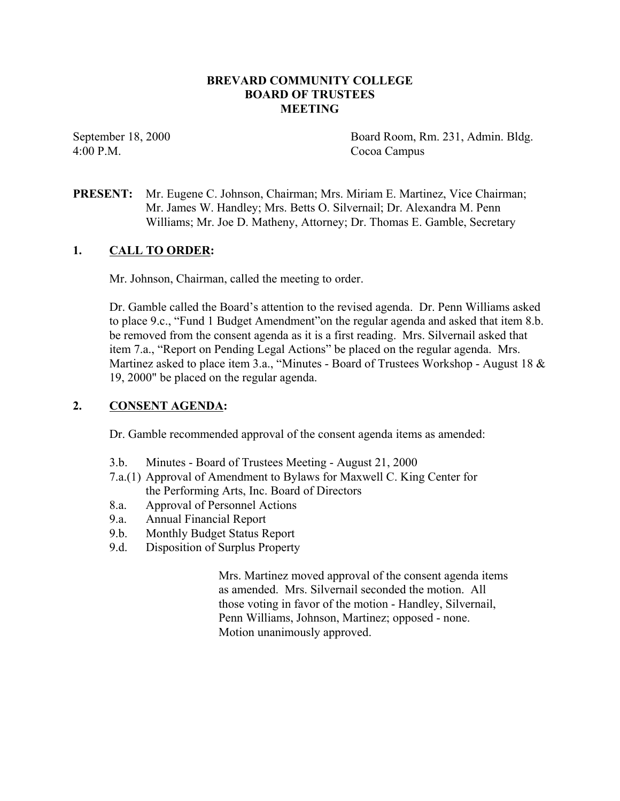### **BREVARD COMMUNITY COLLEGE BOARD OF TRUSTEES MEETING**

4:00 P.M. Cocoa Campus

September 18, 2000 Board Room, Rm. 231, Admin. Bldg.

**PRESENT:** Mr. Eugene C. Johnson, Chairman; Mrs. Miriam E. Martinez, Vice Chairman; Mr. James W. Handley; Mrs. Betts O. Silvernail; Dr. Alexandra M. Penn Williams; Mr. Joe D. Matheny, Attorney; Dr. Thomas E. Gamble, Secretary

## **1. CALL TO ORDER:**

Mr. Johnson, Chairman, called the meeting to order.

Dr. Gamble called the Board's attention to the revised agenda. Dr. Penn Williams asked to place 9.c., "Fund 1 Budget Amendment"on the regular agenda and asked that item 8.b. be removed from the consent agenda as it is a first reading. Mrs. Silvernail asked that item 7.a., "Report on Pending Legal Actions" be placed on the regular agenda. Mrs. Martinez asked to place item 3.a., "Minutes - Board of Trustees Workshop - August 18 & 19, 2000" be placed on the regular agenda.

## **2. CONSENT AGENDA:**

Dr. Gamble recommended approval of the consent agenda items as amended:

- 3.b. Minutes Board of Trustees Meeting August 21, 2000
- 7.a.(1) Approval of Amendment to Bylaws for Maxwell C. King Center for the Performing Arts, Inc. Board of Directors
- 8.a. Approval of Personnel Actions
- 9.a. Annual Financial Report
- 9.b. Monthly Budget Status Report
- 9.d. Disposition of Surplus Property

Mrs. Martinez moved approval of the consent agenda items as amended. Mrs. Silvernail seconded the motion. All those voting in favor of the motion - Handley, Silvernail, Penn Williams, Johnson, Martinez; opposed - none. Motion unanimously approved.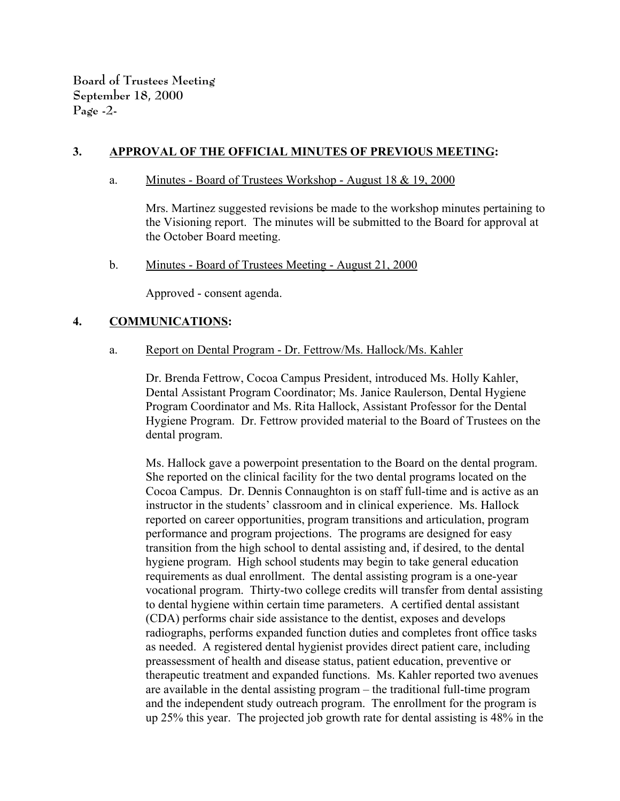**Board of Trustees Meeting September 18, 2000 Page -2-**

## **3. APPROVAL OF THE OFFICIAL MINUTES OF PREVIOUS MEETING:**

#### a. Minutes - Board of Trustees Workshop - August 18 & 19, 2000

Mrs. Martinez suggested revisions be made to the workshop minutes pertaining to the Visioning report. The minutes will be submitted to the Board for approval at the October Board meeting.

b. Minutes - Board of Trustees Meeting - August 21, 2000

Approved - consent agenda.

### **4. COMMUNICATIONS:**

a. Report on Dental Program - Dr. Fettrow/Ms. Hallock/Ms. Kahler

Dr. Brenda Fettrow, Cocoa Campus President, introduced Ms. Holly Kahler, Dental Assistant Program Coordinator; Ms. Janice Raulerson, Dental Hygiene Program Coordinator and Ms. Rita Hallock, Assistant Professor for the Dental Hygiene Program. Dr. Fettrow provided material to the Board of Trustees on the dental program.

Ms. Hallock gave a powerpoint presentation to the Board on the dental program. She reported on the clinical facility for the two dental programs located on the Cocoa Campus. Dr. Dennis Connaughton is on staff full-time and is active as an instructor in the students' classroom and in clinical experience. Ms. Hallock reported on career opportunities, program transitions and articulation, program performance and program projections. The programs are designed for easy transition from the high school to dental assisting and, if desired, to the dental hygiene program. High school students may begin to take general education requirements as dual enrollment. The dental assisting program is a one-year vocational program. Thirty-two college credits will transfer from dental assisting to dental hygiene within certain time parameters. A certified dental assistant (CDA) performs chair side assistance to the dentist, exposes and develops radiographs, performs expanded function duties and completes front office tasks as needed. A registered dental hygienist provides direct patient care, including preassessment of health and disease status, patient education, preventive or therapeutic treatment and expanded functions. Ms. Kahler reported two avenues are available in the dental assisting program – the traditional full-time program and the independent study outreach program. The enrollment for the program is up 25% this year. The projected job growth rate for dental assisting is 48% in the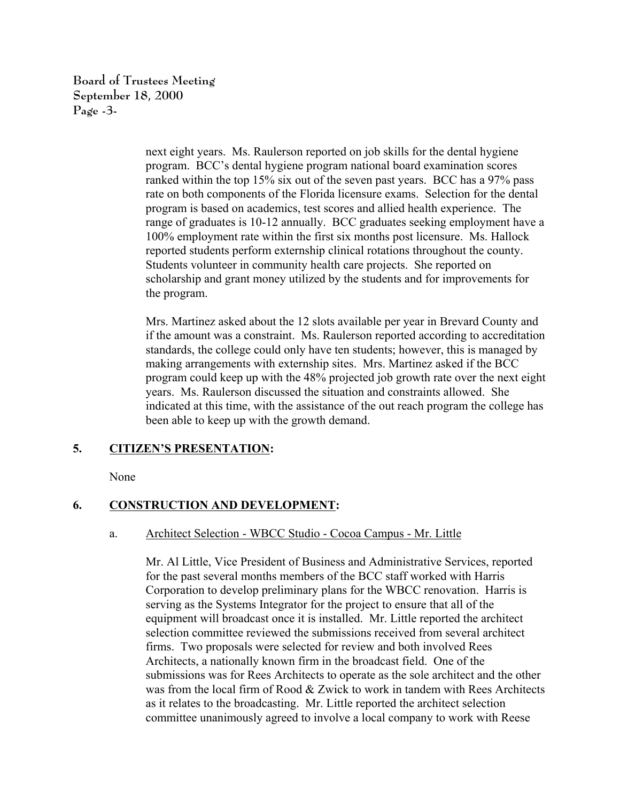**Board of Trustees Meeting September 18, 2000 Page -3-**

> next eight years. Ms. Raulerson reported on job skills for the dental hygiene program. BCC's dental hygiene program national board examination scores ranked within the top 15% six out of the seven past years. BCC has a 97% pass rate on both components of the Florida licensure exams. Selection for the dental program is based on academics, test scores and allied health experience. The range of graduates is 10-12 annually. BCC graduates seeking employment have a 100% employment rate within the first six months post licensure. Ms. Hallock reported students perform externship clinical rotations throughout the county. Students volunteer in community health care projects. She reported on scholarship and grant money utilized by the students and for improvements for the program.

> Mrs. Martinez asked about the 12 slots available per year in Brevard County and if the amount was a constraint. Ms. Raulerson reported according to accreditation standards, the college could only have ten students; however, this is managed by making arrangements with externship sites. Mrs. Martinez asked if the BCC program could keep up with the 48% projected job growth rate over the next eight years. Ms. Raulerson discussed the situation and constraints allowed. She indicated at this time, with the assistance of the out reach program the college has been able to keep up with the growth demand.

# **5. CITIZEN'S PRESENTATION:**

None

### **6. CONSTRUCTION AND DEVELOPMENT:**

#### a. Architect Selection - WBCC Studio - Cocoa Campus - Mr. Little

Mr. Al Little, Vice President of Business and Administrative Services, reported for the past several months members of the BCC staff worked with Harris Corporation to develop preliminary plans for the WBCC renovation. Harris is serving as the Systems Integrator for the project to ensure that all of the equipment will broadcast once it is installed. Mr. Little reported the architect selection committee reviewed the submissions received from several architect firms. Two proposals were selected for review and both involved Rees Architects, a nationally known firm in the broadcast field. One of the submissions was for Rees Architects to operate as the sole architect and the other was from the local firm of Rood & Zwick to work in tandem with Rees Architects as it relates to the broadcasting. Mr. Little reported the architect selection committee unanimously agreed to involve a local company to work with Reese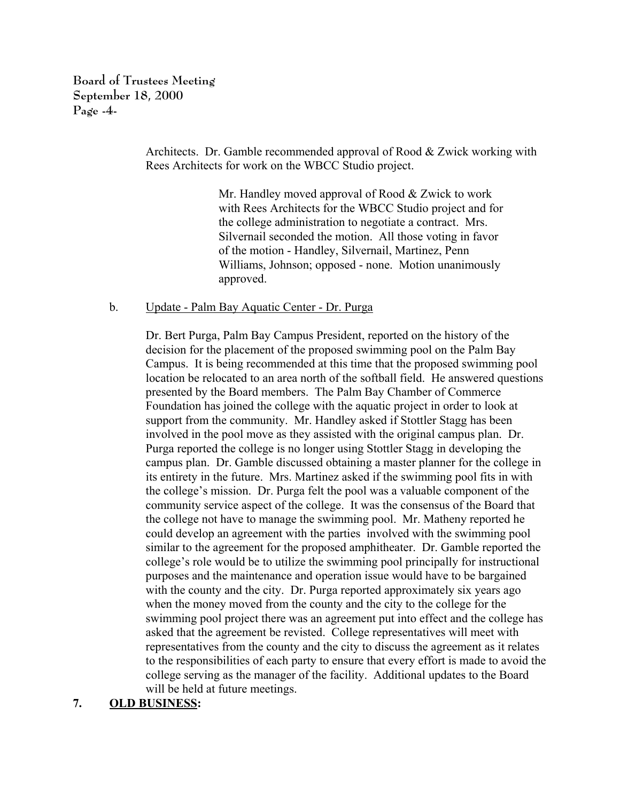**Board of Trustees Meeting September 18, 2000 Page -4-**

> Architects. Dr. Gamble recommended approval of Rood & Zwick working with Rees Architects for work on the WBCC Studio project.

> > Mr. Handley moved approval of Rood & Zwick to work with Rees Architects for the WBCC Studio project and for the college administration to negotiate a contract. Mrs. Silvernail seconded the motion. All those voting in favor of the motion - Handley, Silvernail, Martinez, Penn Williams, Johnson; opposed - none. Motion unanimously approved.

#### b. Update - Palm Bay Aquatic Center - Dr. Purga

Dr. Bert Purga, Palm Bay Campus President, reported on the history of the decision for the placement of the proposed swimming pool on the Palm Bay Campus. It is being recommended at this time that the proposed swimming pool location be relocated to an area north of the softball field. He answered questions presented by the Board members. The Palm Bay Chamber of Commerce Foundation has joined the college with the aquatic project in order to look at support from the community. Mr. Handley asked if Stottler Stagg has been involved in the pool move as they assisted with the original campus plan. Dr. Purga reported the college is no longer using Stottler Stagg in developing the campus plan. Dr. Gamble discussed obtaining a master planner for the college in its entirety in the future. Mrs. Martinez asked if the swimming pool fits in with the college's mission. Dr. Purga felt the pool was a valuable component of the community service aspect of the college. It was the consensus of the Board that the college not have to manage the swimming pool. Mr. Matheny reported he could develop an agreement with the parties involved with the swimming pool similar to the agreement for the proposed amphitheater. Dr. Gamble reported the college's role would be to utilize the swimming pool principally for instructional purposes and the maintenance and operation issue would have to be bargained with the county and the city. Dr. Purga reported approximately six years ago when the money moved from the county and the city to the college for the swimming pool project there was an agreement put into effect and the college has asked that the agreement be revisted. College representatives will meet with representatives from the county and the city to discuss the agreement as it relates to the responsibilities of each party to ensure that every effort is made to avoid the college serving as the manager of the facility. Additional updates to the Board will be held at future meetings.

# **7. OLD BUSINESS:**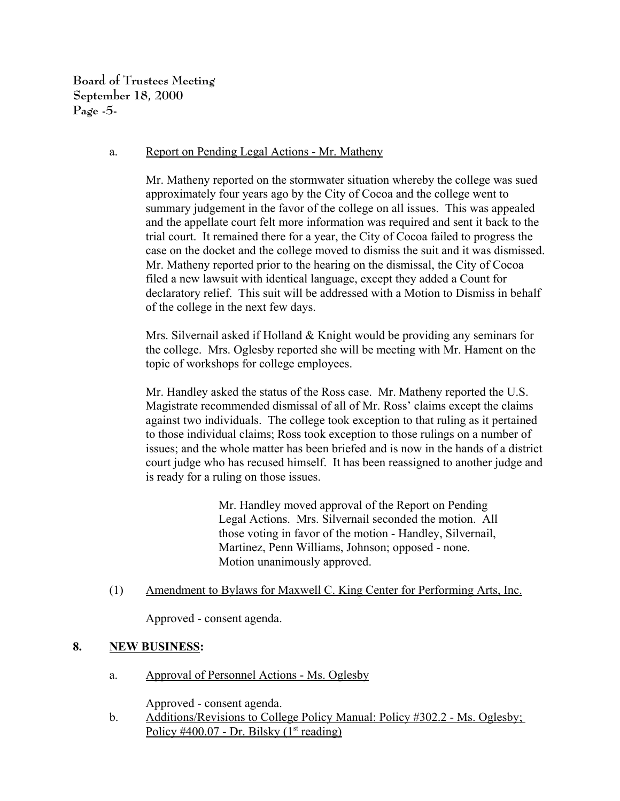**Board of Trustees Meeting September 18, 2000 Page -5-**

### a. Report on Pending Legal Actions - Mr. Matheny

Mr. Matheny reported on the stormwater situation whereby the college was sued approximately four years ago by the City of Cocoa and the college went to summary judgement in the favor of the college on all issues. This was appealed and the appellate court felt more information was required and sent it back to the trial court. It remained there for a year, the City of Cocoa failed to progress the case on the docket and the college moved to dismiss the suit and it was dismissed. Mr. Matheny reported prior to the hearing on the dismissal, the City of Cocoa filed a new lawsuit with identical language, except they added a Count for declaratory relief. This suit will be addressed with a Motion to Dismiss in behalf of the college in the next few days.

Mrs. Silvernail asked if Holland  $&$  Knight would be providing any seminars for the college. Mrs. Oglesby reported she will be meeting with Mr. Hament on the topic of workshops for college employees.

Mr. Handley asked the status of the Ross case. Mr. Matheny reported the U.S. Magistrate recommended dismissal of all of Mr. Ross' claims except the claims against two individuals. The college took exception to that ruling as it pertained to those individual claims; Ross took exception to those rulings on a number of issues; and the whole matter has been briefed and is now in the hands of a district court judge who has recused himself. It has been reassigned to another judge and is ready for a ruling on those issues.

> Mr. Handley moved approval of the Report on Pending Legal Actions. Mrs. Silvernail seconded the motion. All those voting in favor of the motion - Handley, Silvernail, Martinez, Penn Williams, Johnson; opposed - none. Motion unanimously approved.

(1) Amendment to Bylaws for Maxwell C. King Center for Performing Arts, Inc.

Approved - consent agenda.

# **8. NEW BUSINESS:**

a. Approval of Personnel Actions - Ms. Oglesby

Approved - consent agenda.

b. Additions/Revisions to College Policy Manual: Policy #302.2 - Ms. Oglesby; Policy #400.07 - Dr. Bilsky  $(1<sup>st</sup> reading)$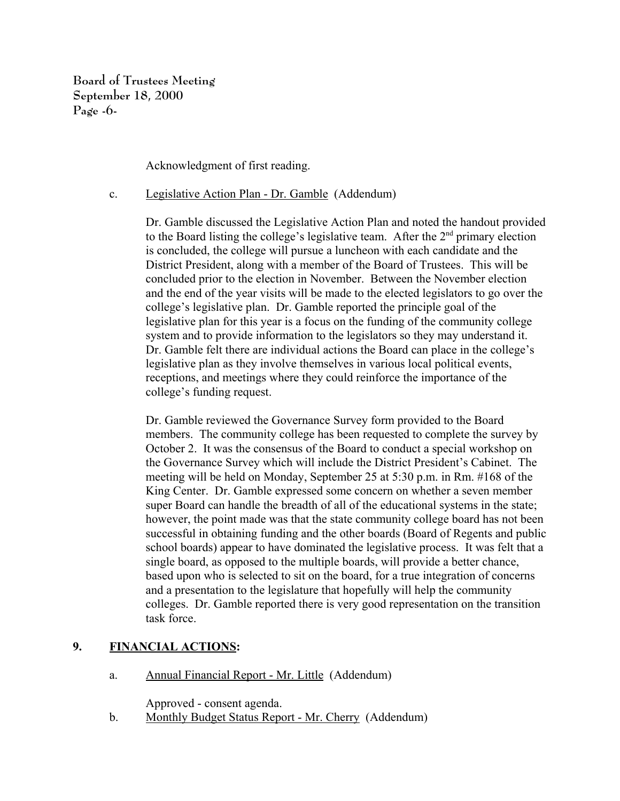**Board of Trustees Meeting September 18, 2000 Page -6-**

Acknowledgment of first reading.

c. Legislative Action Plan - Dr. Gamble (Addendum)

Dr. Gamble discussed the Legislative Action Plan and noted the handout provided to the Board listing the college's legislative team. After the  $2<sup>nd</sup>$  primary election is concluded, the college will pursue a luncheon with each candidate and the District President, along with a member of the Board of Trustees. This will be concluded prior to the election in November. Between the November election and the end of the year visits will be made to the elected legislators to go over the college's legislative plan. Dr. Gamble reported the principle goal of the legislative plan for this year is a focus on the funding of the community college system and to provide information to the legislators so they may understand it. Dr. Gamble felt there are individual actions the Board can place in the college's legislative plan as they involve themselves in various local political events, receptions, and meetings where they could reinforce the importance of the college's funding request.

Dr. Gamble reviewed the Governance Survey form provided to the Board members. The community college has been requested to complete the survey by October 2. It was the consensus of the Board to conduct a special workshop on the Governance Survey which will include the District President's Cabinet. The meeting will be held on Monday, September 25 at 5:30 p.m. in Rm. #168 of the King Center. Dr. Gamble expressed some concern on whether a seven member super Board can handle the breadth of all of the educational systems in the state; however, the point made was that the state community college board has not been successful in obtaining funding and the other boards (Board of Regents and public school boards) appear to have dominated the legislative process. It was felt that a single board, as opposed to the multiple boards, will provide a better chance, based upon who is selected to sit on the board, for a true integration of concerns and a presentation to the legislature that hopefully will help the community colleges. Dr. Gamble reported there is very good representation on the transition task force.

# **9. FINANCIAL ACTIONS:**

a. Annual Financial Report - Mr. Little (Addendum)

Approved - consent agenda.

b. Monthly Budget Status Report - Mr. Cherry (Addendum)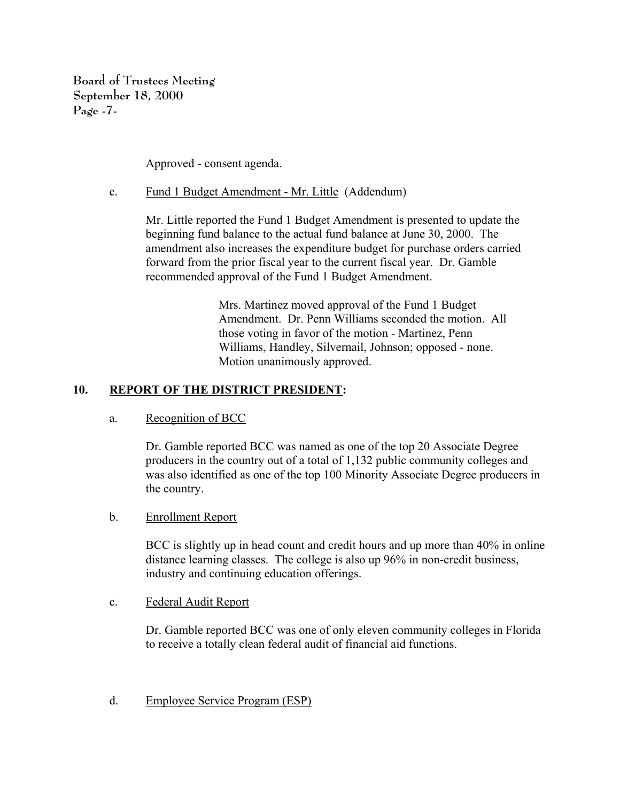**Board of Trustees Meeting September 18, 2000 Page -7-**

Approved - consent agenda.

c. Fund 1 Budget Amendment - Mr. Little (Addendum)

Mr. Little reported the Fund 1 Budget Amendment is presented to update the beginning fund balance to the actual fund balance at June 30, 2000. The amendment also increases the expenditure budget for purchase orders carried forward from the prior fiscal year to the current fiscal year. Dr. Gamble recommended approval of the Fund 1 Budget Amendment.

> Mrs. Martinez moved approval of the Fund 1 Budget Amendment. Dr. Penn Williams seconded the motion. All those voting in favor of the motion - Martinez, Penn Williams, Handley, Silvernail, Johnson; opposed - none. Motion unanimously approved.

## **10. REPORT OF THE DISTRICT PRESIDENT:**

a. Recognition of BCC

Dr. Gamble reported BCC was named as one of the top 20 Associate Degree producers in the country out of a total of 1,132 public community colleges and was also identified as one of the top 100 Minority Associate Degree producers in the country.

### b. Enrollment Report

BCC is slightly up in head count and credit hours and up more than 40% in online distance learning classes. The college is also up 96% in non-credit business, industry and continuing education offerings.

c. Federal Audit Report

Dr. Gamble reported BCC was one of only eleven community colleges in Florida to receive a totally clean federal audit of financial aid functions.

d. Employee Service Program (ESP)